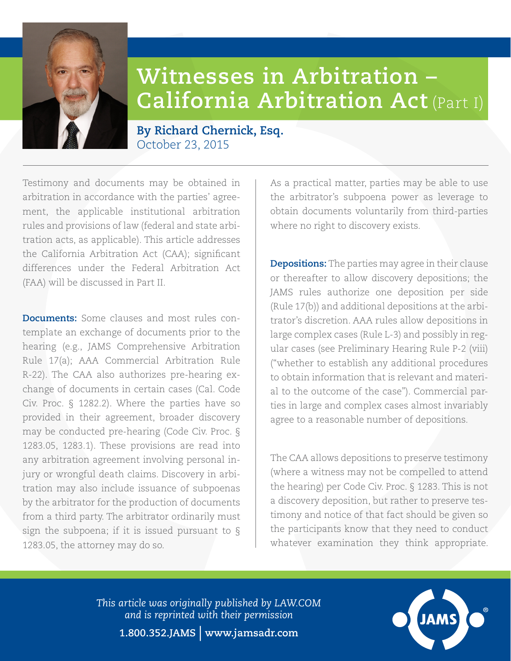## **Witnesses in Arbitration – California Arbitration Act** (Part I)

## **By Richard Chernick, Esq.** October 23, 2015

Testimony and documents may be obtained in arbitration in accordance with the parties' agreement, the applicable institutional arbitration rules and provisions of law (federal and state arbitration acts, as applicable). This article addresses the California Arbitration Act (CAA); significant differences under the Federal Arbitration Act (FAA) will be discussed in Part II.

**Documents:** Some clauses and most rules contemplate an exchange of documents prior to the hearing (e.g., JAMS Comprehensive Arbitration Rule 17(a); AAA Commercial Arbitration Rule R-22). The CAA also authorizes pre-hearing exchange of documents in certain cases (Cal. Code Civ. Proc. § 1282.2). Where the parties have so provided in their agreement, broader discovery may be conducted pre-hearing (Code Civ. Proc. § 1283.05, 1283.1). These provisions are read into any arbitration agreement involving personal injury or wrongful death claims. Discovery in arbitration may also include issuance of subpoenas by the arbitrator for the production of documents from a third party. The arbitrator ordinarily must sign the subpoena; if it is issued pursuant to § 1283.05, the attorney may do so.

As a practical matter, parties may be able to use the arbitrator's subpoena power as leverage to obtain documents voluntarily from third-parties where no right to discovery exists.

**Depositions:** The parties may agree in their clause or thereafter to allow discovery depositions; the JAMS rules authorize one deposition per side (Rule 17(b)) and additional depositions at the arbitrator's discretion. AAA rules allow depositions in large complex cases (Rule L-3) and possibly in regular cases (see Preliminary Hearing Rule P-2 (viii) ("whether to establish any additional procedures to obtain information that is relevant and material to the outcome of the case"). Commercial parties in large and complex cases almost invariably agree to a reasonable number of depositions.

The CAA allows depositions to preserve testimony (where a witness may not be compelled to attend the hearing) per Code Civ. Proc. § 1283. This is not a discovery deposition, but rather to preserve testimony and notice of that fact should be given so the participants know that they need to conduct whatever examination they think appropriate.

*This article was originally published by [LAW.COM](http://www.law.com)  and is reprinted with their permission* **1.800.352.JAMS** | **www.jamsadr.com**